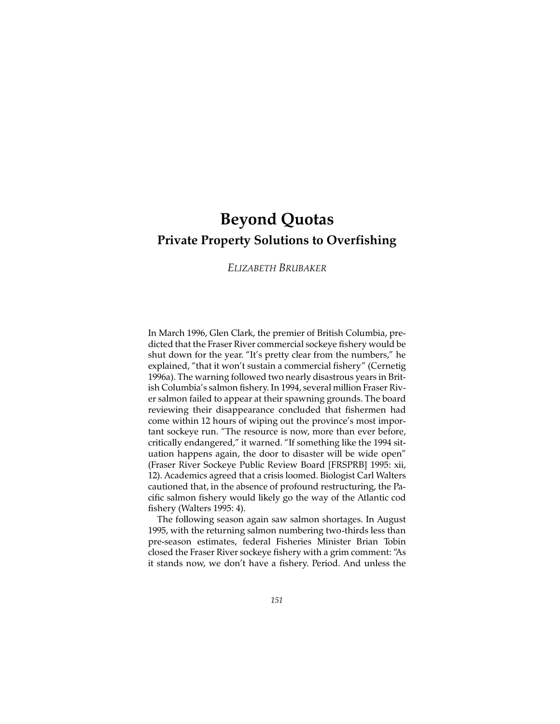# **Beyond Quotas Private Property Solutions to Overfishing**

# *ELIZABETH BRUBAKER*

In March 1996, Glen Clark, the premier of British Columbia, predicted that the Fraser River commercial sockeye fishery would be shut down for the year. "It's pretty clear from the numbers," he explained, "that it won't sustain a commercial fishery" (Cernetig 1996a). The warning followed two nearly disastrous years in British Columbia's salmon fishery. In 1994, several million Fraser River salmon failed to appear at their spawning grounds. The board reviewing their disappearance concluded that fishermen had come within 12 hours of wiping out the province's most important sockeye run. "The resource is now, more than ever before, critically endangered," it warned. "If something like the 1994 situation happens again, the door to disaster will be wide open" (Fraser River Sockeye Public Review Board [FRSPRB] 1995: xii, 12). Academics agreed that a crisis loomed. Biologist Carl Walters cautioned that, in the absence of profound restructuring, the Pacific salmon fishery would likely go the way of the Atlantic cod fishery (Walters 1995: 4).

The following season again saw salmon shortages. In August 1995, with the returning salmon numbering two-thirds less than pre-season estimates, federal Fisheries Minister Brian Tobin closed the Fraser River sockeye fishery with a grim comment: "As it stands now, we don't have a fishery. Period. And unless the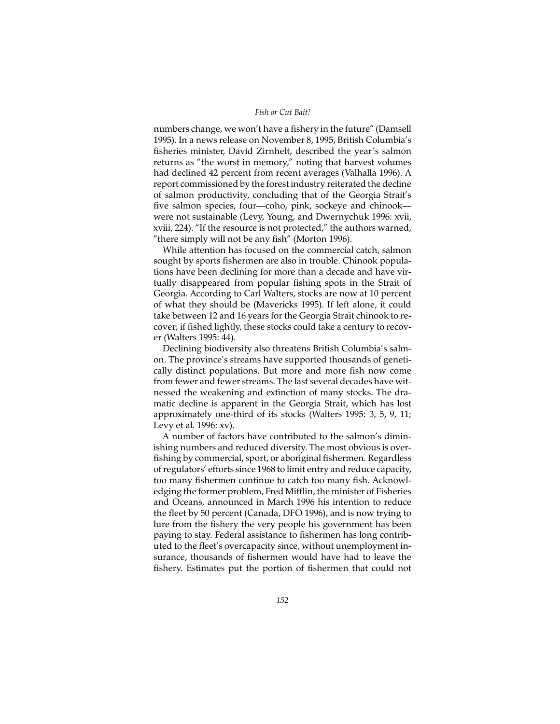## *Fish or Cut Bait!*

numbers change, we won't have a fishery in the future" (Damsell 1995). In a news release on November 8, 1995, British Columbia's fisheries minister, David Zirnhelt, described the year's salmon returns as "the worst in memory," noting that harvest volumes had declined 42 percent from recent averages (Valhalla 1996). A report commissioned by the forest industry reiterated the decline of salmon productivity, concluding that of the Georgia Strait's five salmon species, four—coho, pink, sockeye and chinook were not sustainable (Levy, Young, and Dwernychuk 1996: xvii, xviii, 224). "If the resource is not protected," the authors warned, "there simply will not be any fish" (Morton 1996).

While attention has focused on the commercial catch, salmon sought by sports fishermen are also in trouble. Chinook populations have been declining for more than a decade and have virtually disappeared from popular fishing spots in the Strait of Georgia. According to Carl Walters, stocks are now at 10 percent of what they should be (Mavericks 1995). If left alone, it could take between 12 and 16 years for the Georgia Strait chinook to recover; if fished lightly, these stocks could take a century to recover (Walters 1995: 44).

Declining biodiversity also threatens British Columbia's salmon. The province's streams have supported thousands of genetically distinct populations. But more and more fish now come from fewer and fewer streams. The last several decades have witnessed the weakening and extinction of many stocks. The dramatic decline is apparent in the Georgia Strait, which has lost approximately one-third of its stocks (Walters 1995: 3, 5, 9, 11; Levy et al. 1996: xv).

A number of factors have contributed to the salmon's diminishing numbers and reduced diversity. The most obvious is overfishing by commercial, sport, or aboriginal fishermen. Regardless of regulators' efforts since 1968 to limit entry and reduce capacity, too many fishermen continue to catch too many fish. Acknowledging the former problem, Fred Mifflin, the minister of Fisheries and Oceans, announced in March 1996 his intention to reduce the fleet by 50 percent (Canada, DFO 1996), and is now trying to lure from the fishery the very people his government has been paying to stay. Federal assistance to fishermen has long contributed to the fleet's overcapacity since, without unemployment insurance, thousands of fishermen would have had to leave the fishery. Estimates put the portion of fishermen that could not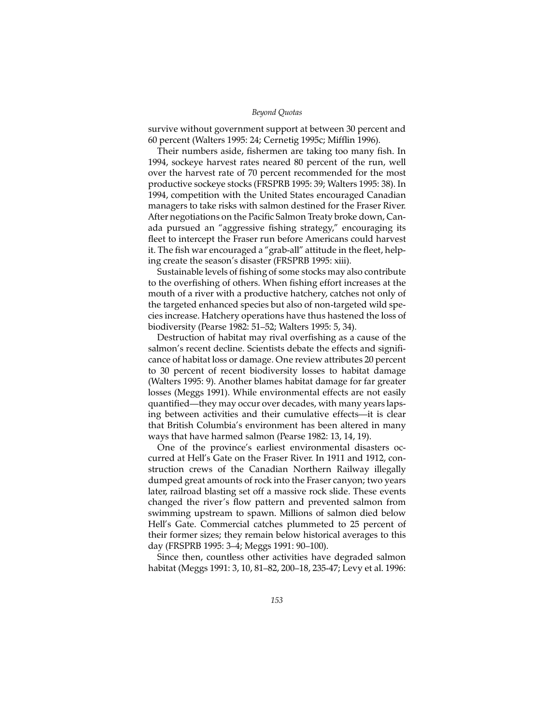survive without government support at between 30 percent and 60 percent (Walters 1995: 24; Cernetig 1995c; Mifflin 1996).

Their numbers aside, fishermen are taking too many fish. In 1994, sockeye harvest rates neared 80 percent of the run, well over the harvest rate of 70 percent recommended for the most productive sockeye stocks (FRSPRB 1995: 39; Walters 1995: 38). In 1994, competition with the United States encouraged Canadian managers to take risks with salmon destined for the Fraser River. After negotiations on the Pacific Salmon Treaty broke down, Canada pursued an "aggressive fishing strategy," encouraging its fleet to intercept the Fraser run before Americans could harvest it. The fish war encouraged a "grab-all" attitude in the fleet, helping create the season's disaster (FRSPRB 1995: xiii).

Sustainable levels of fishing of some stocks may also contribute to the overfishing of others. When fishing effort increases at the mouth of a river with a productive hatchery, catches not only of the targeted enhanced species but also of non-targeted wild species increase. Hatchery operations have thus hastened the loss of biodiversity (Pearse 1982: 51–52; Walters 1995: 5, 34).

Destruction of habitat may rival overfishing as a cause of the salmon's recent decline. Scientists debate the effects and significance of habitat loss or damage. One review attributes 20 percent to 30 percent of recent biodiversity losses to habitat damage (Walters 1995: 9). Another blames habitat damage for far greater losses (Meggs 1991). While environmental effects are not easily quantified—they may occur over decades, with many years lapsing between activities and their cumulative effects—it is clear that British Columbia's environment has been altered in many ways that have harmed salmon (Pearse 1982: 13, 14, 19).

One of the province's earliest environmental disasters occurred at Hell's Gate on the Fraser River. In 1911 and 1912, construction crews of the Canadian Northern Railway illegally dumped great amounts of rock into the Fraser canyon; two years later, railroad blasting set off a massive rock slide. These events changed the river's flow pattern and prevented salmon from swimming upstream to spawn. Millions of salmon died below Hell's Gate. Commercial catches plummeted to 25 percent of their former sizes; they remain below historical averages to this day (FRSPRB 1995: 3–4; Meggs 1991: 90–100).

Since then, countless other activities have degraded salmon habitat (Meggs 1991: 3, 10, 81–82, 200–18, 235-47; Levy et al. 1996: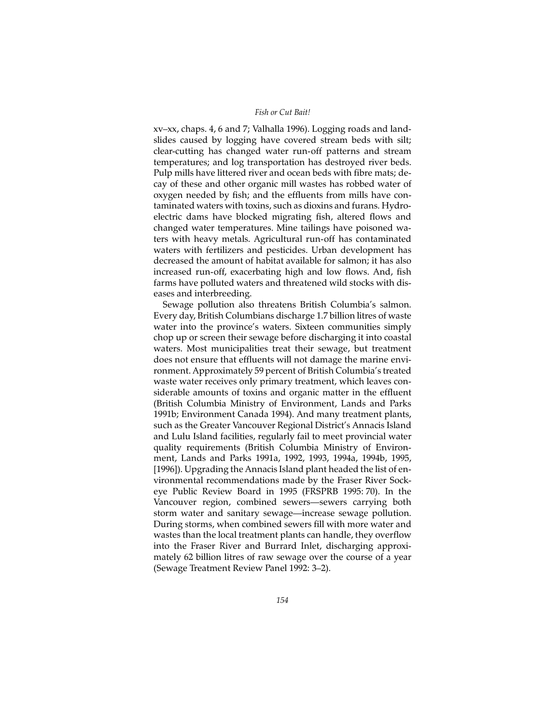xv–xx, chaps. 4, 6 and 7; Valhalla 1996). Logging roads and landslides caused by logging have covered stream beds with silt; clear-cutting has changed water run-off patterns and stream temperatures; and log transportation has destroyed river beds. Pulp mills have littered river and ocean beds with fibre mats; decay of these and other organic mill wastes has robbed water of oxygen needed by fish; and the effluents from mills have contaminated waters with toxins, such as dioxins and furans. Hydroelectric dams have blocked migrating fish, altered flows and changed water temperatures. Mine tailings have poisoned waters with heavy metals. Agricultural run-off has contaminated waters with fertilizers and pesticides. Urban development has decreased the amount of habitat available for salmon; it has also increased run-off, exacerbating high and low flows. And, fish farms have polluted waters and threatened wild stocks with diseases and interbreeding.

Sewage pollution also threatens British Columbia's salmon. Every day, British Columbians discharge 1.7 billion litres of waste water into the province's waters. Sixteen communities simply chop up or screen their sewage before discharging it into coastal waters. Most municipalities treat their sewage, but treatment does not ensure that effluents will not damage the marine environment. Approximately 59 percent of British Columbia's treated waste water receives only primary treatment, which leaves considerable amounts of toxins and organic matter in the effluent (British Columbia Ministry of Environment, Lands and Parks 1991b; Environment Canada 1994). And many treatment plants, such as the Greater Vancouver Regional District's Annacis Island and Lulu Island facilities, regularly fail to meet provincial water quality requirements (British Columbia Ministry of Environment, Lands and Parks 1991a, 1992, 1993, 1994a, 1994b, 1995, [1996]). Upgrading the Annacis Island plant headed the list of environmental recommendations made by the Fraser River Sockeye Public Review Board in 1995 (FRSPRB 1995: 70). In the Vancouver region, combined sewers—sewers carrying both storm water and sanitary sewage—increase sewage pollution. During storms, when combined sewers fill with more water and wastes than the local treatment plants can handle, they overflow into the Fraser River and Burrard Inlet, discharging approximately 62 billion litres of raw sewage over the course of a year (Sewage Treatment Review Panel 1992: 3–2).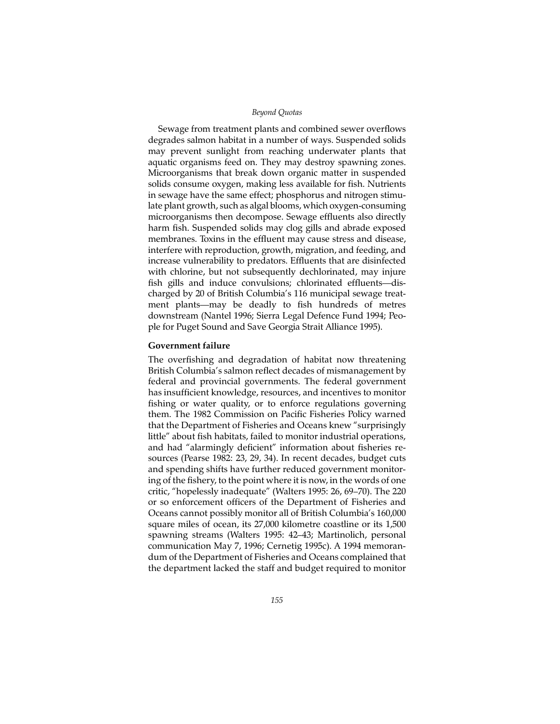Sewage from treatment plants and combined sewer overflows degrades salmon habitat in a number of ways. Suspended solids may prevent sunlight from reaching underwater plants that aquatic organisms feed on. They may destroy spawning zones. Microorganisms that break down organic matter in suspended solids consume oxygen, making less available for fish. Nutrients in sewage have the same effect; phosphorus and nitrogen stimulate plant growth, such as algal blooms, which oxygen-consuming microorganisms then decompose. Sewage effluents also directly harm fish. Suspended solids may clog gills and abrade exposed membranes. Toxins in the effluent may cause stress and disease, interfere with reproduction, growth, migration, and feeding, and increase vulnerability to predators. Effluents that are disinfected with chlorine, but not subsequently dechlorinated, may injure fish gills and induce convulsions; chlorinated effluents—discharged by 20 of British Columbia's 116 municipal sewage treatment plants—may be deadly to fish hundreds of metres downstream (Nantel 1996; Sierra Legal Defence Fund 1994; People for Puget Sound and Save Georgia Strait Alliance 1995).

# **Government failure**

The overfishing and degradation of habitat now threatening British Columbia's salmon reflect decades of mismanagement by federal and provincial governments. The federal government has insufficient knowledge, resources, and incentives to monitor fishing or water quality, or to enforce regulations governing them. The 1982 Commission on Pacific Fisheries Policy warned that the Department of Fisheries and Oceans knew "surprisingly little" about fish habitats, failed to monitor industrial operations, and had "alarmingly deficient" information about fisheries resources (Pearse 1982: 23, 29, 34). In recent decades, budget cuts and spending shifts have further reduced government monitoring of the fishery, to the point where it is now, in the words of one critic, "hopelessly inadequate" (Walters 1995: 26, 69–70). The 220 or so enforcement officers of the Department of Fisheries and Oceans cannot possibly monitor all of British Columbia's 160,000 square miles of ocean, its 27,000 kilometre coastline or its 1,500 spawning streams (Walters 1995: 42–43; Martinolich, personal communication May 7, 1996; Cernetig 1995c). A 1994 memorandum of the Department of Fisheries and Oceans complained that the department lacked the staff and budget required to monitor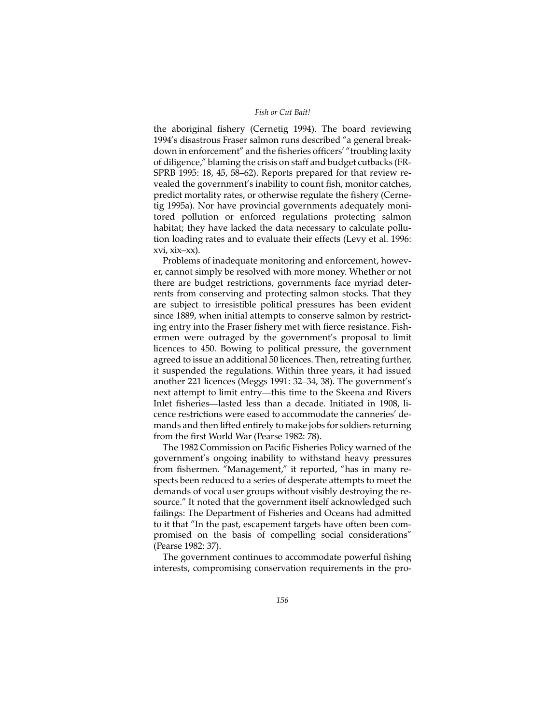the aboriginal fishery (Cernetig 1994). The board reviewing 1994's disastrous Fraser salmon runs described "a general breakdown in enforcement" and the fisheries officers' "troubling laxity of diligence," blaming the crisis on staff and budget cutbacks (FR-SPRB 1995: 18, 45, 58–62). Reports prepared for that review revealed the government's inability to count fish, monitor catches, predict mortality rates, or otherwise regulate the fishery (Cernetig 1995a). Nor have provincial governments adequately monitored pollution or enforced regulations protecting salmon habitat; they have lacked the data necessary to calculate pollution loading rates and to evaluate their effects (Levy et al. 1996: xvi, xix–xx).

Problems of inadequate monitoring and enforcement, however, cannot simply be resolved with more money. Whether or not there are budget restrictions, governments face myriad deterrents from conserving and protecting salmon stocks. That they are subject to irresistible political pressures has been evident since 1889, when initial attempts to conserve salmon by restricting entry into the Fraser fishery met with fierce resistance. Fishermen were outraged by the government's proposal to limit licences to 450. Bowing to political pressure, the government agreed to issue an additional 50 licences. Then, retreating further, it suspended the regulations. Within three years, it had issued another 221 licences (Meggs 1991: 32–34, 38). The government's next attempt to limit entry—this time to the Skeena and Rivers Inlet fisheries—lasted less than a decade. Initiated in 1908, licence restrictions were eased to accommodate the canneries' demands and then lifted entirely to make jobs for soldiers returning from the first World War (Pearse 1982: 78).

The 1982 Commission on Pacific Fisheries Policy warned of the government's ongoing inability to withstand heavy pressures from fishermen. "Management," it reported, "has in many respects been reduced to a series of desperate attempts to meet the demands of vocal user groups without visibly destroying the resource." It noted that the government itself acknowledged such failings: The Department of Fisheries and Oceans had admitted to it that "In the past, escapement targets have often been compromised on the basis of compelling social considerations" (Pearse 1982: 37).

The government continues to accommodate powerful fishing interests, compromising conservation requirements in the pro-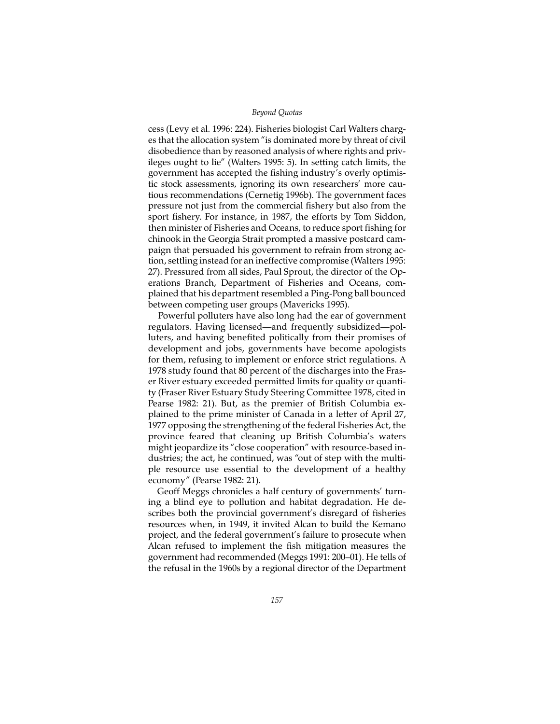cess (Levy et al. 1996: 224). Fisheries biologist Carl Walters charges that the allocation system "is dominated more by threat of civil disobedience than by reasoned analysis of where rights and privileges ought to lie" (Walters 1995: 5). In setting catch limits, the government has accepted the fishing industry's overly optimistic stock assessments, ignoring its own researchers' more cautious recommendations (Cernetig 1996b). The government faces pressure not just from the commercial fishery but also from the sport fishery. For instance, in 1987, the efforts by Tom Siddon, then minister of Fisheries and Oceans, to reduce sport fishing for chinook in the Georgia Strait prompted a massive postcard campaign that persuaded his government to refrain from strong action, settling instead for an ineffective compromise (Walters 1995: 27). Pressured from all sides, Paul Sprout, the director of the Operations Branch, Department of Fisheries and Oceans, complained that his department resembled a Ping-Pong ball bounced between competing user groups (Mavericks 1995).

Powerful polluters have also long had the ear of government regulators. Having licensed—and frequently subsidized—polluters, and having benefited politically from their promises of development and jobs, governments have become apologists for them, refusing to implement or enforce strict regulations. A 1978 study found that 80 percent of the discharges into the Fraser River estuary exceeded permitted limits for quality or quantity (Fraser River Estuary Study Steering Committee 1978, cited in Pearse 1982: 21). But, as the premier of British Columbia explained to the prime minister of Canada in a letter of April 27, 1977 opposing the strengthening of the federal Fisheries Act, the province feared that cleaning up British Columbia's waters might jeopardize its "close cooperation" with resource-based industries; the act, he continued, was "out of step with the multiple resource use essential to the development of a healthy economy" (Pearse 1982: 21).

Geoff Meggs chronicles a half century of governments' turning a blind eye to pollution and habitat degradation. He describes both the provincial government's disregard of fisheries resources when, in 1949, it invited Alcan to build the Kemano project, and the federal government's failure to prosecute when Alcan refused to implement the fish mitigation measures the government had recommended (Meggs 1991: 200–01). He tells of the refusal in the 1960s by a regional director of the Department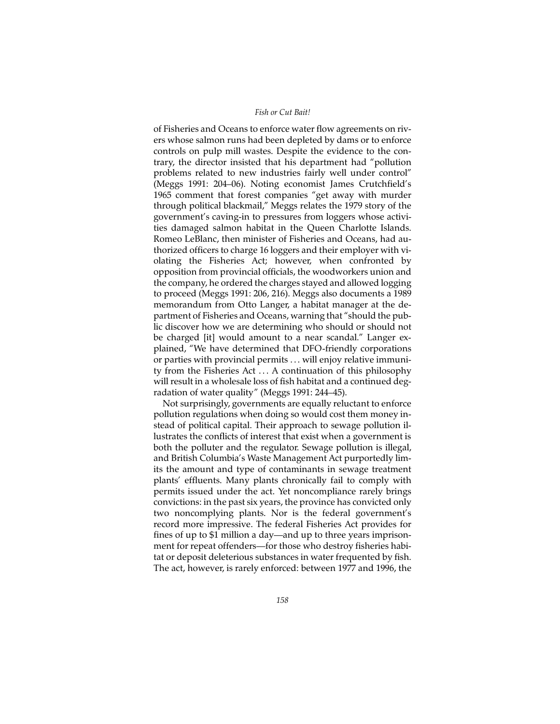of Fisheries and Oceans to enforce water flow agreements on rivers whose salmon runs had been depleted by dams or to enforce controls on pulp mill wastes. Despite the evidence to the contrary, the director insisted that his department had "pollution problems related to new industries fairly well under control" (Meggs 1991: 204–06). Noting economist James Crutchfield's 1965 comment that forest companies "get away with murder through political blackmail," Meggs relates the 1979 story of the government's caving-in to pressures from loggers whose activities damaged salmon habitat in the Queen Charlotte Islands. Romeo LeBlanc, then minister of Fisheries and Oceans, had authorized officers to charge 16 loggers and their employer with violating the Fisheries Act; however, when confronted by opposition from provincial officials, the woodworkers union and the company, he ordered the charges stayed and allowed logging to proceed (Meggs 1991: 206, 216). Meggs also documents a 1989 memorandum from Otto Langer, a habitat manager at the department of Fisheries and Oceans, warning that "should the public discover how we are determining who should or should not be charged [it] would amount to a near scandal." Langer explained, "We have determined that DFO-friendly corporations or parties with provincial permits . . . will enjoy relative immunity from the Fisheries Act . . . A continuation of this philosophy will result in a wholesale loss of fish habitat and a continued degradation of water quality" (Meggs 1991: 244–45).

Not surprisingly, governments are equally reluctant to enforce pollution regulations when doing so would cost them money instead of political capital. Their approach to sewage pollution illustrates the conflicts of interest that exist when a government is both the polluter and the regulator. Sewage pollution is illegal, and British Columbia's Waste Management Act purportedly limits the amount and type of contaminants in sewage treatment plants' effluents. Many plants chronically fail to comply with permits issued under the act. Yet noncompliance rarely brings convictions: in the past six years, the province has convicted only two noncomplying plants. Nor is the federal government's record more impressive. The federal Fisheries Act provides for fines of up to \$1 million a day—and up to three years imprisonment for repeat offenders—for those who destroy fisheries habitat or deposit deleterious substances in water frequented by fish. The act, however, is rarely enforced: between 1977 and 1996, the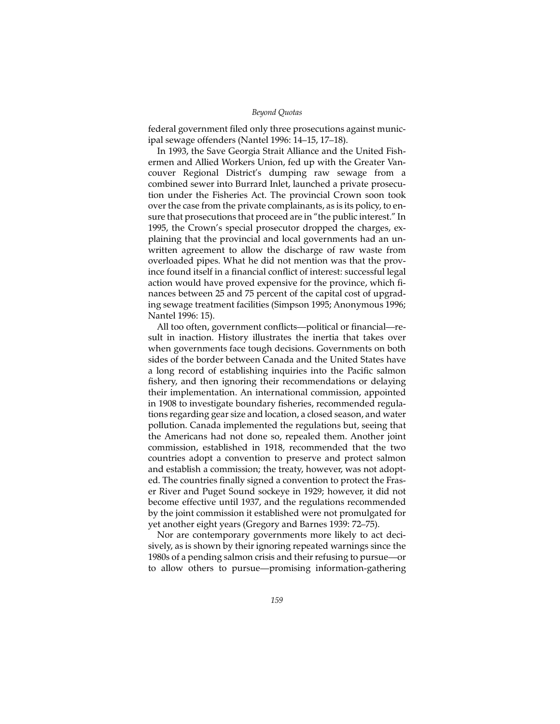federal government filed only three prosecutions against municipal sewage offenders (Nantel 1996: 14–15, 17–18).

In 1993, the Save Georgia Strait Alliance and the United Fishermen and Allied Workers Union, fed up with the Greater Vancouver Regional District's dumping raw sewage from a combined sewer into Burrard Inlet, launched a private prosecution under the Fisheries Act. The provincial Crown soon took over the case from the private complainants, as is its policy, to ensure that prosecutions that proceed are in "the public interest." In 1995, the Crown's special prosecutor dropped the charges, explaining that the provincial and local governments had an unwritten agreement to allow the discharge of raw waste from overloaded pipes. What he did not mention was that the province found itself in a financial conflict of interest: successful legal action would have proved expensive for the province, which finances between 25 and 75 percent of the capital cost of upgrading sewage treatment facilities (Simpson 1995; Anonymous 1996; Nantel 1996: 15).

All too often, government conflicts—political or financial—result in inaction. History illustrates the inertia that takes over when governments face tough decisions. Governments on both sides of the border between Canada and the United States have a long record of establishing inquiries into the Pacific salmon fishery, and then ignoring their recommendations or delaying their implementation. An international commission, appointed in 1908 to investigate boundary fisheries, recommended regulations regarding gear size and location, a closed season, and water pollution. Canada implemented the regulations but, seeing that the Americans had not done so, repealed them. Another joint commission, established in 1918, recommended that the two countries adopt a convention to preserve and protect salmon and establish a commission; the treaty, however, was not adopted. The countries finally signed a convention to protect the Fraser River and Puget Sound sockeye in 1929; however, it did not become effective until 1937, and the regulations recommended by the joint commission it established were not promulgated for yet another eight years (Gregory and Barnes 1939: 72–75).

Nor are contemporary governments more likely to act decisively, as is shown by their ignoring repeated warnings since the 1980s of a pending salmon crisis and their refusing to pursue—or to allow others to pursue—promising information-gathering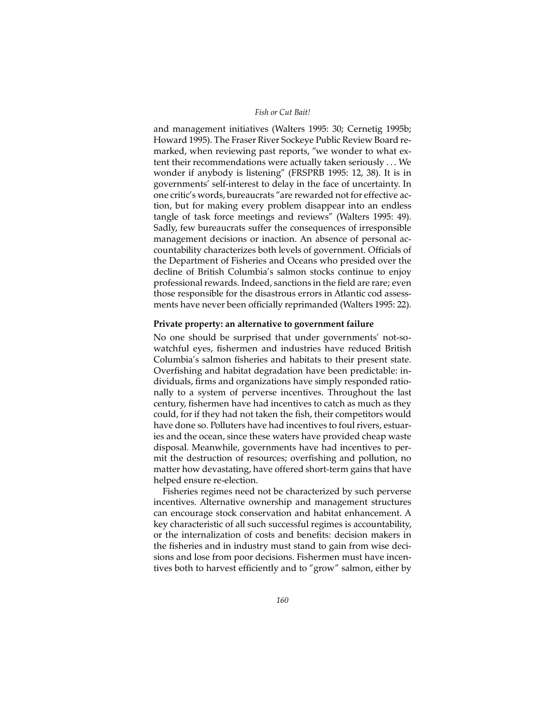and management initiatives (Walters 1995: 30; Cernetig 1995b; Howard 1995). The Fraser River Sockeye Public Review Board remarked, when reviewing past reports, "we wonder to what extent their recommendations were actually taken seriously . . . We wonder if anybody is listening" (FRSPRB 1995: 12, 38). It is in governments' self-interest to delay in the face of uncertainty. In one critic's words, bureaucrats "are rewarded not for effective action, but for making every problem disappear into an endless tangle of task force meetings and reviews" (Walters 1995: 49). Sadly, few bureaucrats suffer the consequences of irresponsible management decisions or inaction. An absence of personal accountability characterizes both levels of government. Officials of the Department of Fisheries and Oceans who presided over the decline of British Columbia's salmon stocks continue to enjoy professional rewards. Indeed, sanctions in the field are rare; even those responsible for the disastrous errors in Atlantic cod assessments have never been officially reprimanded (Walters 1995: 22).

# **Private property: an alternative to government failure**

No one should be surprised that under governments' not-sowatchful eyes, fishermen and industries have reduced British Columbia's salmon fisheries and habitats to their present state. Overfishing and habitat degradation have been predictable: individuals, firms and organizations have simply responded rationally to a system of perverse incentives. Throughout the last century, fishermen have had incentives to catch as much as they could, for if they had not taken the fish, their competitors would have done so. Polluters have had incentives to foul rivers, estuaries and the ocean, since these waters have provided cheap waste disposal. Meanwhile, governments have had incentives to permit the destruction of resources; overfishing and pollution, no matter how devastating, have offered short-term gains that have helped ensure re-election.

Fisheries regimes need not be characterized by such perverse incentives. Alternative ownership and management structures can encourage stock conservation and habitat enhancement. A key characteristic of all such successful regimes is accountability, or the internalization of costs and benefits: decision makers in the fisheries and in industry must stand to gain from wise decisions and lose from poor decisions. Fishermen must have incentives both to harvest efficiently and to "grow" salmon, either by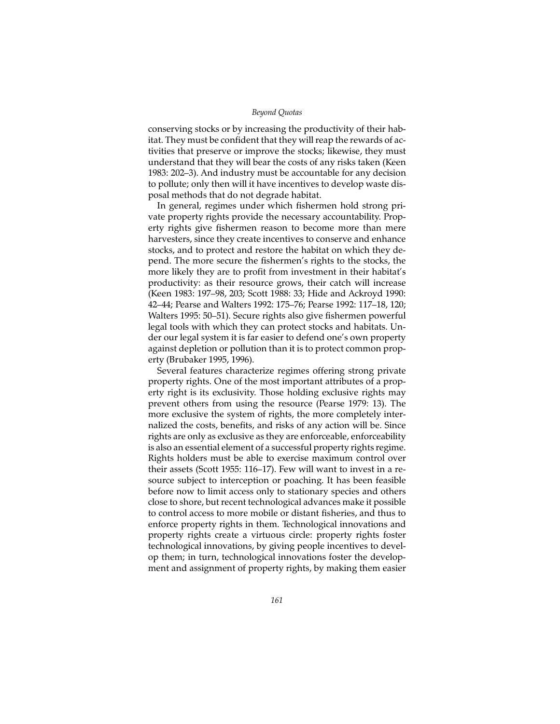conserving stocks or by increasing the productivity of their habitat. They must be confident that they will reap the rewards of activities that preserve or improve the stocks; likewise, they must understand that they will bear the costs of any risks taken (Keen 1983: 202–3). And industry must be accountable for any decision to pollute; only then will it have incentives to develop waste disposal methods that do not degrade habitat.

In general, regimes under which fishermen hold strong private property rights provide the necessary accountability. Property rights give fishermen reason to become more than mere harvesters, since they create incentives to conserve and enhance stocks, and to protect and restore the habitat on which they depend. The more secure the fishermen's rights to the stocks, the more likely they are to profit from investment in their habitat's productivity: as their resource grows, their catch will increase (Keen 1983: 197–98, 203; Scott 1988: 33; Hide and Ackroyd 1990: 42–44; Pearse and Walters 1992: 175–76; Pearse 1992: 117–18, 120; Walters 1995: 50–51). Secure rights also give fishermen powerful legal tools with which they can protect stocks and habitats. Under our legal system it is far easier to defend one's own property against depletion or pollution than it is to protect common property (Brubaker 1995, 1996).

Several features characterize regimes offering strong private property rights. One of the most important attributes of a property right is its exclusivity. Those holding exclusive rights may prevent others from using the resource (Pearse 1979: 13). The more exclusive the system of rights, the more completely internalized the costs, benefits, and risks of any action will be. Since rights are only as exclusive as they are enforceable, enforceability is also an essential element of a successful property rights regime. Rights holders must be able to exercise maximum control over their assets (Scott 1955: 116–17). Few will want to invest in a resource subject to interception or poaching. It has been feasible before now to limit access only to stationary species and others close to shore, but recent technological advances make it possible to control access to more mobile or distant fisheries, and thus to enforce property rights in them. Technological innovations and property rights create a virtuous circle: property rights foster technological innovations, by giving people incentives to develop them; in turn, technological innovations foster the development and assignment of property rights, by making them easier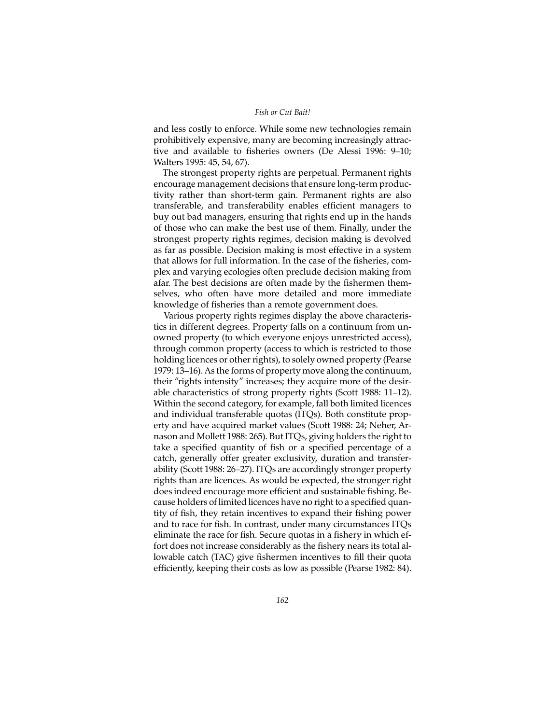## *Fish or Cut Bait!*

and less costly to enforce. While some new technologies remain prohibitively expensive, many are becoming increasingly attractive and available to fisheries owners (De Alessi 1996: 9–10; Walters 1995: 45, 54, 67).

The strongest property rights are perpetual. Permanent rights encourage management decisions that ensure long-term productivity rather than short-term gain. Permanent rights are also transferable, and transferability enables efficient managers to buy out bad managers, ensuring that rights end up in the hands of those who can make the best use of them. Finally, under the strongest property rights regimes, decision making is devolved as far as possible. Decision making is most effective in a system that allows for full information. In the case of the fisheries, complex and varying ecologies often preclude decision making from afar. The best decisions are often made by the fishermen themselves, who often have more detailed and more immediate knowledge of fisheries than a remote government does.

Various property rights regimes display the above characteristics in different degrees. Property falls on a continuum from unowned property (to which everyone enjoys unrestricted access), through common property (access to which is restricted to those holding licences or other rights), to solely owned property (Pearse 1979: 13–16). As the forms of property move along the continuum, their "rights intensity" increases; they acquire more of the desirable characteristics of strong property rights (Scott 1988: 11–12). Within the second category, for example, fall both limited licences and individual transferable quotas (ITQs). Both constitute property and have acquired market values (Scott 1988: 24; Neher, Arnason and Mollett 1988: 265). But ITQs, giving holders the right to take a specified quantity of fish or a specified percentage of a catch, generally offer greater exclusivity, duration and transferability (Scott 1988: 26–27). ITQs are accordingly stronger property rights than are licences. As would be expected, the stronger right does indeed encourage more efficient and sustainable fishing. Because holders of limited licences have no right to a specified quantity of fish, they retain incentives to expand their fishing power and to race for fish. In contrast, under many circumstances ITQs eliminate the race for fish. Secure quotas in a fishery in which effort does not increase considerably as the fishery nears its total allowable catch (TAC) give fishermen incentives to fill their quota efficiently, keeping their costs as low as possible (Pearse 1982: 84).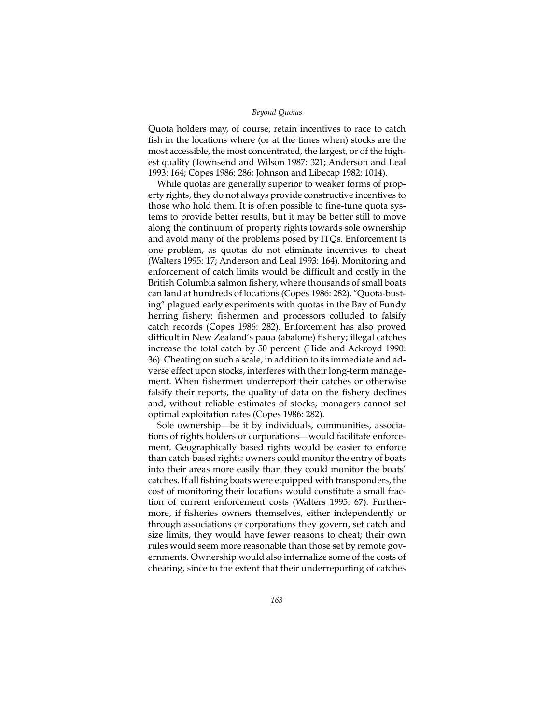Quota holders may, of course, retain incentives to race to catch fish in the locations where (or at the times when) stocks are the most accessible, the most concentrated, the largest, or of the highest quality (Townsend and Wilson 1987: 321; Anderson and Leal 1993: 164; Copes 1986: 286; Johnson and Libecap 1982: 1014).

While quotas are generally superior to weaker forms of property rights, they do not always provide constructive incentives to those who hold them. It is often possible to fine-tune quota systems to provide better results, but it may be better still to move along the continuum of property rights towards sole ownership and avoid many of the problems posed by ITQs. Enforcement is one problem, as quotas do not eliminate incentives to cheat (Walters 1995: 17; Anderson and Leal 1993: 164). Monitoring and enforcement of catch limits would be difficult and costly in the British Columbia salmon fishery, where thousands of small boats can land at hundreds of locations (Copes 1986: 282). "Quota-busting" plagued early experiments with quotas in the Bay of Fundy herring fishery; fishermen and processors colluded to falsify catch records (Copes 1986: 282). Enforcement has also proved difficult in New Zealand's paua (abalone) fishery; illegal catches increase the total catch by 50 percent (Hide and Ackroyd 1990: 36). Cheating on such a scale, in addition to its immediate and adverse effect upon stocks, interferes with their long-term management. When fishermen underreport their catches or otherwise falsify their reports, the quality of data on the fishery declines and, without reliable estimates of stocks, managers cannot set optimal exploitation rates (Copes 1986: 282).

Sole ownership—be it by individuals, communities, associations of rights holders or corporations—would facilitate enforcement. Geographically based rights would be easier to enforce than catch-based rights: owners could monitor the entry of boats into their areas more easily than they could monitor the boats' catches. If all fishing boats were equipped with transponders, the cost of monitoring their locations would constitute a small fraction of current enforcement costs (Walters 1995: 67). Furthermore, if fisheries owners themselves, either independently or through associations or corporations they govern, set catch and size limits, they would have fewer reasons to cheat; their own rules would seem more reasonable than those set by remote governments. Ownership would also internalize some of the costs of cheating, since to the extent that their underreporting of catches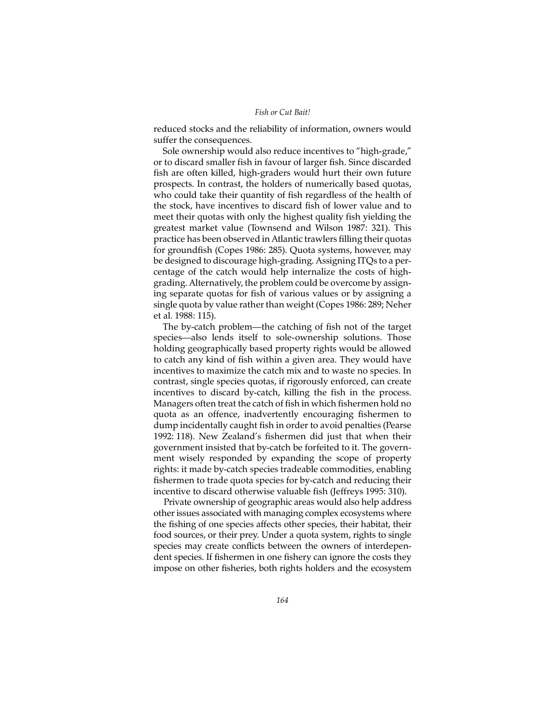reduced stocks and the reliability of information, owners would suffer the consequences.

Sole ownership would also reduce incentives to "high-grade," or to discard smaller fish in favour of larger fish. Since discarded fish are often killed, high-graders would hurt their own future prospects. In contrast, the holders of numerically based quotas, who could take their quantity of fish regardless of the health of the stock, have incentives to discard fish of lower value and to meet their quotas with only the highest quality fish yielding the greatest market value (Townsend and Wilson 1987: 321). This practice has been observed in Atlantic trawlers filling their quotas for groundfish (Copes 1986: 285). Quota systems, however, may be designed to discourage high-grading. Assigning ITQs to a percentage of the catch would help internalize the costs of highgrading. Alternatively, the problem could be overcome by assigning separate quotas for fish of various values or by assigning a single quota by value rather than weight (Copes 1986: 289; Neher et al. 1988: 115).

The by-catch problem—the catching of fish not of the target species—also lends itself to sole-ownership solutions. Those holding geographically based property rights would be allowed to catch any kind of fish within a given area. They would have incentives to maximize the catch mix and to waste no species. In contrast, single species quotas, if rigorously enforced, can create incentives to discard by-catch, killing the fish in the process. Managers often treat the catch of fish in which fishermen hold no quota as an offence, inadvertently encouraging fishermen to dump incidentally caught fish in order to avoid penalties (Pearse 1992: 118). New Zealand's fishermen did just that when their government insisted that by-catch be forfeited to it. The government wisely responded by expanding the scope of property rights: it made by-catch species tradeable commodities, enabling fishermen to trade quota species for by-catch and reducing their incentive to discard otherwise valuable fish (Jeffreys 1995: 310).

Private ownership of geographic areas would also help address other issues associated with managing complex ecosystems where the fishing of one species affects other species, their habitat, their food sources, or their prey. Under a quota system, rights to single species may create conflicts between the owners of interdependent species. If fishermen in one fishery can ignore the costs they impose on other fisheries, both rights holders and the ecosystem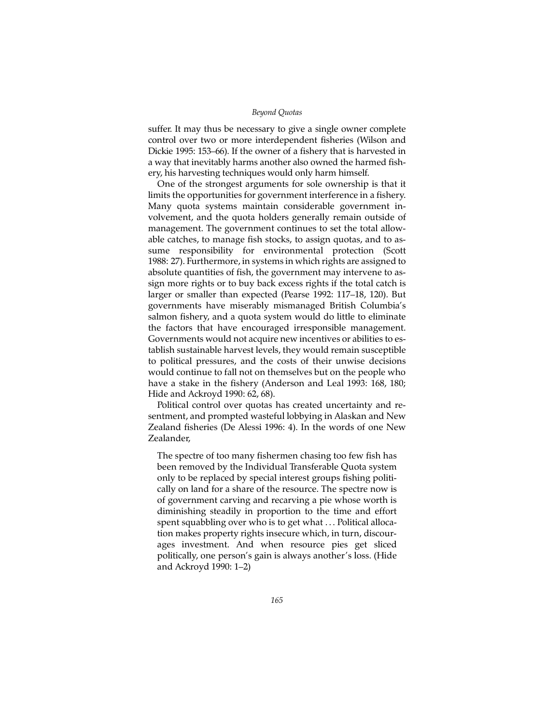suffer. It may thus be necessary to give a single owner complete control over two or more interdependent fisheries (Wilson and Dickie 1995: 153–66). If the owner of a fishery that is harvested in a way that inevitably harms another also owned the harmed fishery, his harvesting techniques would only harm himself.

One of the strongest arguments for sole ownership is that it limits the opportunities for government interference in a fishery. Many quota systems maintain considerable government involvement, and the quota holders generally remain outside of management. The government continues to set the total allowable catches, to manage fish stocks, to assign quotas, and to assume responsibility for environmental protection (Scott 1988: 27). Furthermore, in systems in which rights are assigned to absolute quantities of fish, the government may intervene to assign more rights or to buy back excess rights if the total catch is larger or smaller than expected (Pearse 1992: 117–18, 120). But governments have miserably mismanaged British Columbia's salmon fishery, and a quota system would do little to eliminate the factors that have encouraged irresponsible management. Governments would not acquire new incentives or abilities to establish sustainable harvest levels, they would remain susceptible to political pressures, and the costs of their unwise decisions would continue to fall not on themselves but on the people who have a stake in the fishery (Anderson and Leal 1993: 168, 180; Hide and Ackroyd 1990: 62, 68).

Political control over quotas has created uncertainty and resentment, and prompted wasteful lobbying in Alaskan and New Zealand fisheries (De Alessi 1996: 4). In the words of one New Zealander,

The spectre of too many fishermen chasing too few fish has been removed by the Individual Transferable Quota system only to be replaced by special interest groups fishing politically on land for a share of the resource. The spectre now is of government carving and recarving a pie whose worth is diminishing steadily in proportion to the time and effort spent squabbling over who is to get what ... Political allocation makes property rights insecure which, in turn, discourages investment. And when resource pies get sliced politically, one person's gain is always another's loss. (Hide and Ackroyd 1990: 1–2)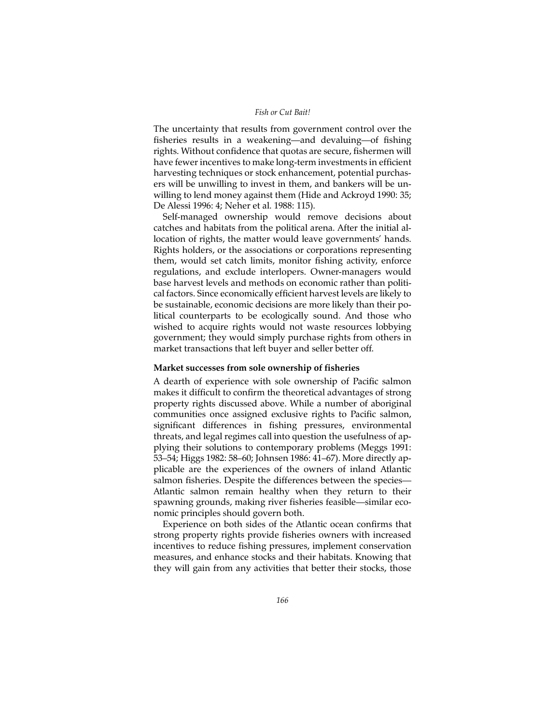The uncertainty that results from government control over the fisheries results in a weakening—and devaluing—of fishing rights. Without confidence that quotas are secure, fishermen will have fewer incentives to make long-term investments in efficient harvesting techniques or stock enhancement, potential purchasers will be unwilling to invest in them, and bankers will be unwilling to lend money against them (Hide and Ackroyd 1990: 35; De Alessi 1996: 4; Neher et al. 1988: 115).

Self-managed ownership would remove decisions about catches and habitats from the political arena. After the initial allocation of rights, the matter would leave governments' hands. Rights holders, or the associations or corporations representing them, would set catch limits, monitor fishing activity, enforce regulations, and exclude interlopers. Owner-managers would base harvest levels and methods on economic rather than political factors. Since economically efficient harvest levels are likely to be sustainable, economic decisions are more likely than their political counterparts to be ecologically sound. And those who wished to acquire rights would not waste resources lobbying government; they would simply purchase rights from others in market transactions that left buyer and seller better off.

# **Market successes from sole ownership of fisheries**

A dearth of experience with sole ownership of Pacific salmon makes it difficult to confirm the theoretical advantages of strong property rights discussed above. While a number of aboriginal communities once assigned exclusive rights to Pacific salmon, significant differences in fishing pressures, environmental threats, and legal regimes call into question the usefulness of applying their solutions to contemporary problems (Meggs 1991: 53–54; Higgs 1982: 58–60; Johnsen 1986: 41–67). More directly applicable are the experiences of the owners of inland Atlantic salmon fisheries. Despite the differences between the species-Atlantic salmon remain healthy when they return to their spawning grounds, making river fisheries feasible—similar economic principles should govern both.

Experience on both sides of the Atlantic ocean confirms that strong property rights provide fisheries owners with increased incentives to reduce fishing pressures, implement conservation measures, and enhance stocks and their habitats. Knowing that they will gain from any activities that better their stocks, those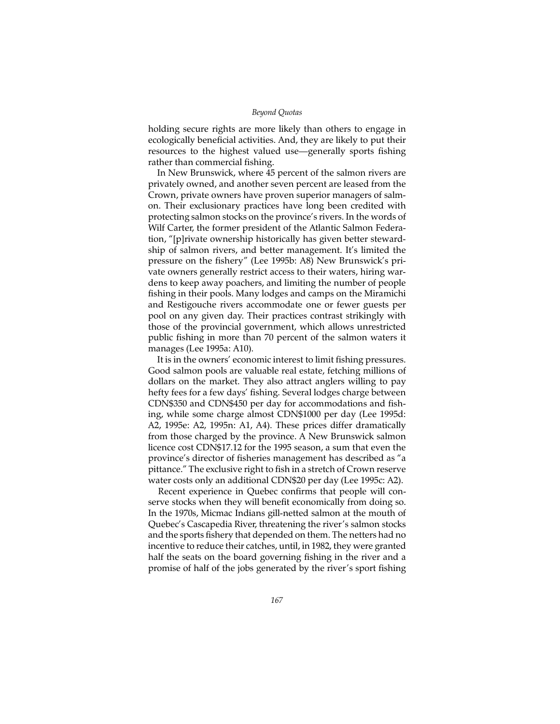holding secure rights are more likely than others to engage in ecologically beneficial activities. And, they are likely to put their resources to the highest valued use—generally sports fishing rather than commercial fishing.

In New Brunswick, where 45 percent of the salmon rivers are privately owned, and another seven percent are leased from the Crown, private owners have proven superior managers of salmon. Their exclusionary practices have long been credited with protecting salmon stocks on the province's rivers. In the words of Wilf Carter, the former president of the Atlantic Salmon Federation, "[p]rivate ownership historically has given better stewardship of salmon rivers, and better management. It's limited the pressure on the fishery" (Lee 1995b: A8) New Brunswick's private owners generally restrict access to their waters, hiring wardens to keep away poachers, and limiting the number of people fishing in their pools. Many lodges and camps on the Miramichi and Restigouche rivers accommodate one or fewer guests per pool on any given day. Their practices contrast strikingly with those of the provincial government, which allows unrestricted public fishing in more than 70 percent of the salmon waters it manages (Lee 1995a: A10).

It is in the owners' economic interest to limit fishing pressures. Good salmon pools are valuable real estate, fetching millions of dollars on the market. They also attract anglers willing to pay hefty fees for a few days' fishing. Several lodges charge between CDN\$350 and CDN\$450 per day for accommodations and fishing, while some charge almost CDN\$1000 per day (Lee 1995d: A2, 1995e: A2, 1995n: A1, A4). These prices differ dramatically from those charged by the province. A New Brunswick salmon licence cost CDN\$17.12 for the 1995 season, a sum that even the province's director of fisheries management has described as "a pittance." The exclusive right to fish in a stretch of Crown reserve water costs only an additional CDN\$20 per day (Lee 1995c: A2).

Recent experience in Quebec confirms that people will conserve stocks when they will benefit economically from doing so. In the 1970s, Micmac Indians gill-netted salmon at the mouth of Quebec's Cascapedia River, threatening the river's salmon stocks and the sports fishery that depended on them. The netters had no incentive to reduce their catches, until, in 1982, they were granted half the seats on the board governing fishing in the river and a promise of half of the jobs generated by the river's sport fishing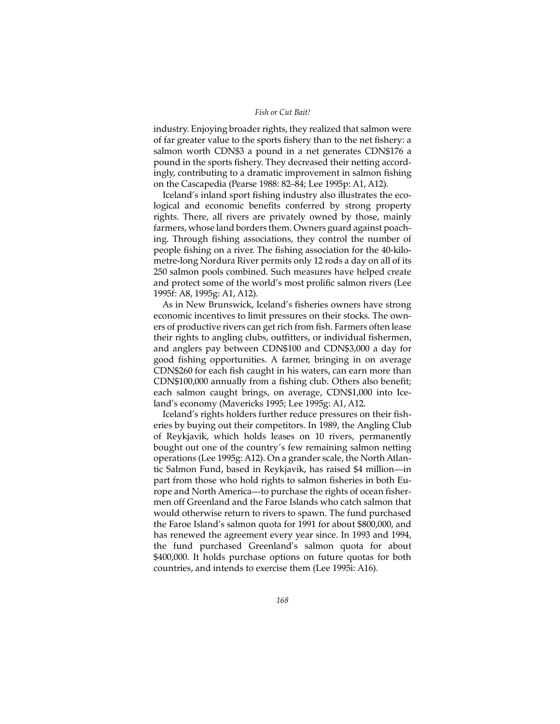## *Fish or Cut Bait!*

industry. Enjoying broader rights, they realized that salmon were of far greater value to the sports fishery than to the net fishery: a salmon worth CDN\$3 a pound in a net generates CDN\$176 a pound in the sports fishery. They decreased their netting accordingly, contributing to a dramatic improvement in salmon fishing on the Cascapedia (Pearse 1988: 82–84; Lee 1995p: A1, A12).

Iceland's inland sport fishing industry also illustrates the ecological and economic benefits conferred by strong property rights. There, all rivers are privately owned by those, mainly farmers, whose land borders them. Owners guard against poaching. Through fishing associations, they control the number of people fishing on a river. The fishing association for the 40-kilometre-long Nordura River permits only 12 rods a day on all of its 250 salmon pools combined. Such measures have helped create and protect some of the world's most prolific salmon rivers (Lee 1995f: A8, 1995g: A1, A12).

As in New Brunswick, Iceland's fisheries owners have strong economic incentives to limit pressures on their stocks. The owners of productive rivers can get rich from fish. Farmers often lease their rights to angling clubs, outfitters, or individual fishermen, and anglers pay between CDN\$100 and CDN\$3,000 a day for good fishing opportunities. A farmer, bringing in on average CDN\$260 for each fish caught in his waters, can earn more than CDN\$100,000 annually from a fishing club. Others also benefit; each salmon caught brings, on average, CDN\$1,000 into Iceland's economy (Mavericks 1995; Lee 1995g: A1, A12.

Iceland's rights holders further reduce pressures on their fisheries by buying out their competitors. In 1989, the Angling Club of Reykjavik, which holds leases on 10 rivers, permanently bought out one of the country's few remaining salmon netting operations (Lee 1995g: A12). On a grander scale, the North Atlantic Salmon Fund, based in Reykjavik, has raised \$4 million—in part from those who hold rights to salmon fisheries in both Europe and North America—to purchase the rights of ocean fishermen off Greenland and the Faroe Islands who catch salmon that would otherwise return to rivers to spawn. The fund purchased the Faroe Island's salmon quota for 1991 for about \$800,000, and has renewed the agreement every year since. In 1993 and 1994, the fund purchased Greenland's salmon quota for about \$400,000. It holds purchase options on future quotas for both countries, and intends to exercise them (Lee 1995i: A16).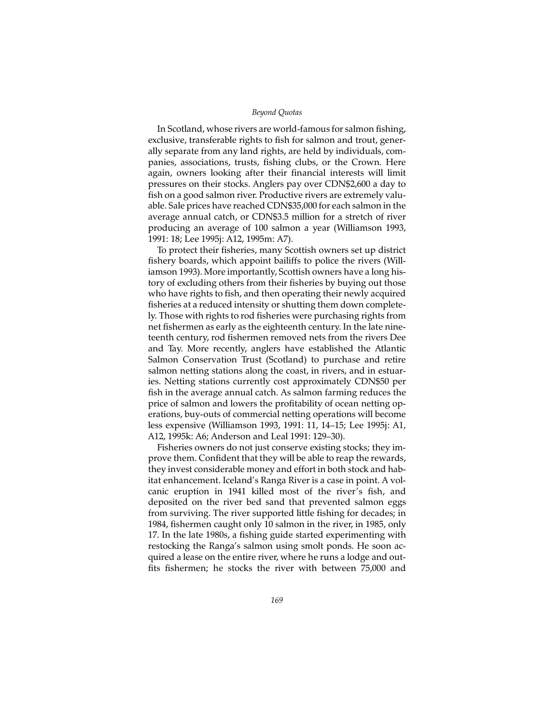In Scotland, whose rivers are world-famous for salmon fishing, exclusive, transferable rights to fish for salmon and trout, generally separate from any land rights, are held by individuals, companies, associations, trusts, fishing clubs, or the Crown. Here again, owners looking after their financial interests will limit pressures on their stocks. Anglers pay over CDN\$2,600 a day to fish on a good salmon river. Productive rivers are extremely valuable. Sale prices have reached CDN\$35,000 for each salmon in the average annual catch, or CDN\$3.5 million for a stretch of river producing an average of 100 salmon a year (Williamson 1993, 1991: 18; Lee 1995j: A12, 1995m: A7).

To protect their fisheries, many Scottish owners set up district fishery boards, which appoint bailiffs to police the rivers (Williamson 1993). More importantly, Scottish owners have a long history of excluding others from their fisheries by buying out those who have rights to fish, and then operating their newly acquired fisheries at a reduced intensity or shutting them down completely. Those with rights to rod fisheries were purchasing rights from net fishermen as early as the eighteenth century. In the late nineteenth century, rod fishermen removed nets from the rivers Dee and Tay. More recently, anglers have established the Atlantic Salmon Conservation Trust (Scotland) to purchase and retire salmon netting stations along the coast, in rivers, and in estuaries. Netting stations currently cost approximately CDN\$50 per fish in the average annual catch. As salmon farming reduces the price of salmon and lowers the profitability of ocean netting operations, buy-outs of commercial netting operations will become less expensive (Williamson 1993, 1991: 11, 14–15; Lee 1995j: A1, A12, 1995k: A6; Anderson and Leal 1991: 129–30).

Fisheries owners do not just conserve existing stocks; they improve them. Confident that they will be able to reap the rewards, they invest considerable money and effort in both stock and habitat enhancement. Iceland's Ranga River is a case in point. A volcanic eruption in 1941 killed most of the river's fish, and deposited on the river bed sand that prevented salmon eggs from surviving. The river supported little fishing for decades; in 1984, fishermen caught only 10 salmon in the river, in 1985, only 17. In the late 1980s, a fishing guide started experimenting with restocking the Ranga's salmon using smolt ponds. He soon acquired a lease on the entire river, where he runs a lodge and outfits fishermen; he stocks the river with between 75,000 and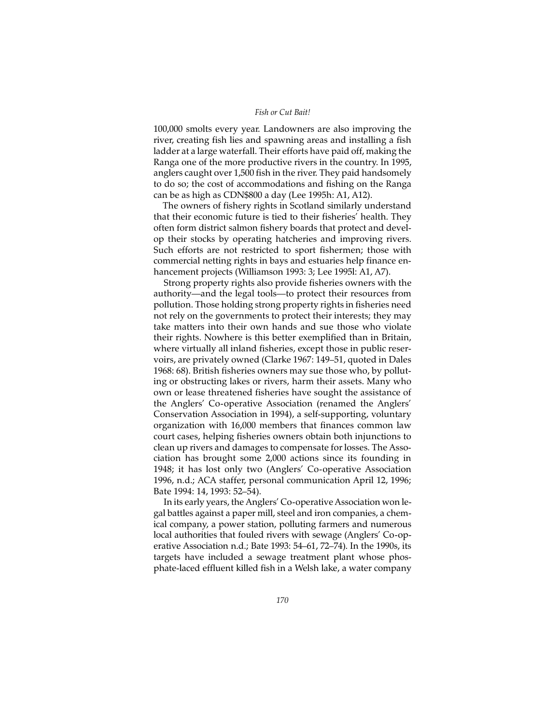#### *Fish or Cut Bait!*

100,000 smolts every year. Landowners are also improving the river, creating fish lies and spawning areas and installing a fish ladder at a large waterfall. Their efforts have paid off, making the Ranga one of the more productive rivers in the country. In 1995, anglers caught over 1,500 fish in the river. They paid handsomely to do so; the cost of accommodations and fishing on the Ranga can be as high as CDN\$800 a day (Lee 1995h: A1, A12).

The owners of fishery rights in Scotland similarly understand that their economic future is tied to their fisheries' health. They often form district salmon fishery boards that protect and develop their stocks by operating hatcheries and improving rivers. Such efforts are not restricted to sport fishermen; those with commercial netting rights in bays and estuaries help finance enhancement projects (Williamson 1993: 3; Lee 1995l: A1, A7).

Strong property rights also provide fisheries owners with the authority—and the legal tools—to protect their resources from pollution. Those holding strong property rights in fisheries need not rely on the governments to protect their interests; they may take matters into their own hands and sue those who violate their rights. Nowhere is this better exemplified than in Britain, where virtually all inland fisheries, except those in public reservoirs, are privately owned (Clarke 1967: 149–51, quoted in Dales 1968: 68). British fisheries owners may sue those who, by polluting or obstructing lakes or rivers, harm their assets. Many who own or lease threatened fisheries have sought the assistance of the Anglers' Co-operative Association (renamed the Anglers' Conservation Association in 1994), a self-supporting, voluntary organization with 16,000 members that finances common law court cases, helping fisheries owners obtain both injunctions to clean up rivers and damages to compensate for losses. The Association has brought some 2,000 actions since its founding in 1948; it has lost only two (Anglers' Co-operative Association 1996, n.d.; ACA staffer, personal communication April 12, 1996; Bate 1994: 14, 1993: 52–54).

In its early years, the Anglers' Co-operative Association won legal battles against a paper mill, steel and iron companies, a chemical company, a power station, polluting farmers and numerous local authorities that fouled rivers with sewage (Anglers' Co-operative Association n.d.; Bate 1993: 54–61, 72–74). In the 1990s, its targets have included a sewage treatment plant whose phosphate-laced effluent killed fish in a Welsh lake, a water company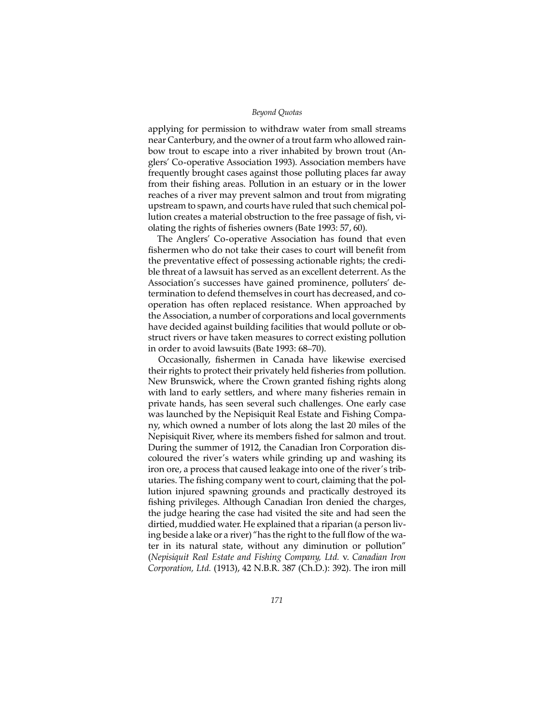applying for permission to withdraw water from small streams near Canterbury, and the owner of a trout farm who allowed rainbow trout to escape into a river inhabited by brown trout (Anglers' Co-operative Association 1993). Association members have frequently brought cases against those polluting places far away from their fishing areas. Pollution in an estuary or in the lower reaches of a river may prevent salmon and trout from migrating upstream to spawn, and courts have ruled that such chemical pollution creates a material obstruction to the free passage of fish, violating the rights of fisheries owners (Bate 1993: 57, 60).

The Anglers' Co-operative Association has found that even fishermen who do not take their cases to court will benefit from the preventative effect of possessing actionable rights; the credible threat of a lawsuit has served as an excellent deterrent. As the Association's successes have gained prominence, polluters' determination to defend themselves in court has decreased, and cooperation has often replaced resistance. When approached by the Association, a number of corporations and local governments have decided against building facilities that would pollute or obstruct rivers or have taken measures to correct existing pollution in order to avoid lawsuits (Bate 1993: 68–70).

Occasionally, fishermen in Canada have likewise exercised their rights to protect their privately held fisheries from pollution. New Brunswick, where the Crown granted fishing rights along with land to early settlers, and where many fisheries remain in private hands, has seen several such challenges. One early case was launched by the Nepisiquit Real Estate and Fishing Company, which owned a number of lots along the last 20 miles of the Nepisiquit River, where its members fished for salmon and trout. During the summer of 1912, the Canadian Iron Corporation discoloured the river's waters while grinding up and washing its iron ore, a process that caused leakage into one of the river's tributaries. The fishing company went to court, claiming that the pollution injured spawning grounds and practically destroyed its fishing privileges. Although Canadian Iron denied the charges, the judge hearing the case had visited the site and had seen the dirtied, muddied water. He explained that a riparian (a person living beside a lake or a river) "has the right to the full flow of the water in its natural state, without any diminution or pollution" (*Nepisiquit Real Estate and Fishing Company, Ltd.* v. *Canadian Iron Corporation, Ltd.* (1913), 42 N.B.R. 387 (Ch.D.): 392). The iron mill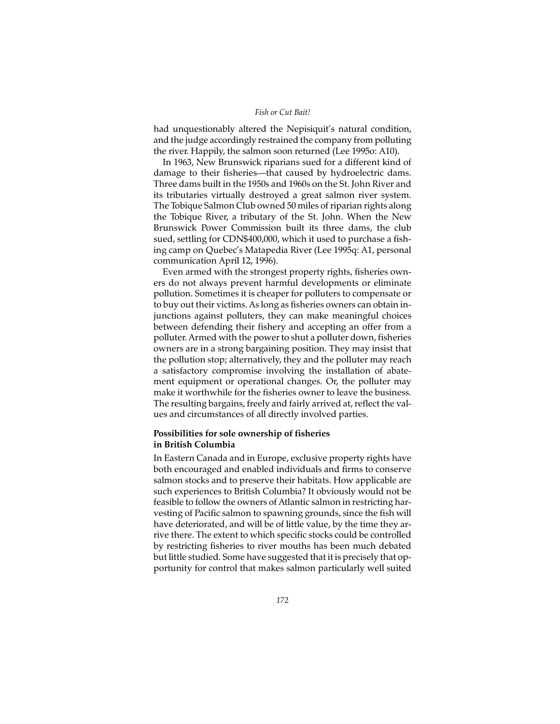## *Fish or Cut Bait!*

had unquestionably altered the Nepisiquit's natural condition, and the judge accordingly restrained the company from polluting the river. Happily, the salmon soon returned (Lee 1995o: A10).

In 1963, New Brunswick riparians sued for a different kind of damage to their fisheries—that caused by hydroelectric dams. Three dams built in the 1950s and 1960s on the St. John River and its tributaries virtually destroyed a great salmon river system. The Tobique Salmon Club owned 50 miles of riparian rights along the Tobique River, a tributary of the St. John. When the New Brunswick Power Commission built its three dams, the club sued, settling for CDN\$400,000, which it used to purchase a fishing camp on Quebec's Matapedia River (Lee 1995q: A1, personal communication April 12, 1996).

Even armed with the strongest property rights, fisheries owners do not always prevent harmful developments or eliminate pollution. Sometimes it is cheaper for polluters to compensate or to buy out their victims. As long as fisheries owners can obtain injunctions against polluters, they can make meaningful choices between defending their fishery and accepting an offer from a polluter. Armed with the power to shut a polluter down, fisheries owners are in a strong bargaining position. They may insist that the pollution stop; alternatively, they and the polluter may reach a satisfactory compromise involving the installation of abatement equipment or operational changes. Or, the polluter may make it worthwhile for the fisheries owner to leave the business. The resulting bargains, freely and fairly arrived at, reflect the values and circumstances of all directly involved parties.

# **Possibilities for sole ownership of fisheries in British Columbia**

In Eastern Canada and in Europe, exclusive property rights have both encouraged and enabled individuals and firms to conserve salmon stocks and to preserve their habitats. How applicable are such experiences to British Columbia? It obviously would not be feasible to follow the owners of Atlantic salmon in restricting harvesting of Pacific salmon to spawning grounds, since the fish will have deteriorated, and will be of little value, by the time they arrive there. The extent to which specific stocks could be controlled by restricting fisheries to river mouths has been much debated but little studied. Some have suggested that it is precisely that opportunity for control that makes salmon particularly well suited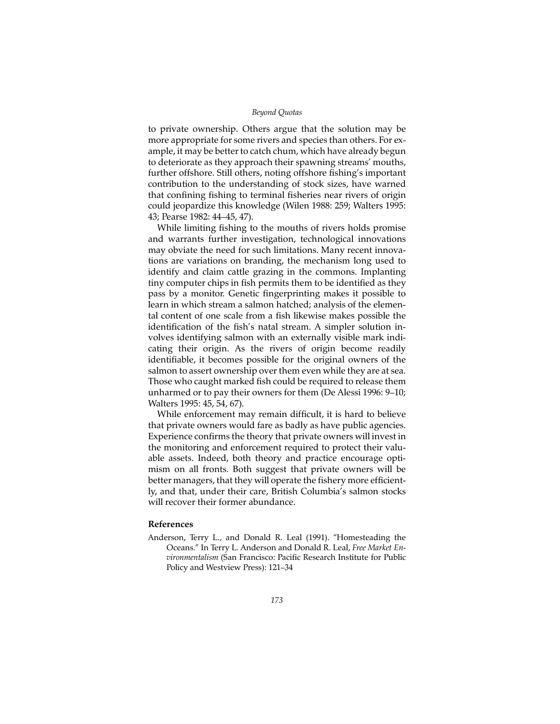to private ownership. Others argue that the solution may be more appropriate for some rivers and species than others. For example, it may be better to catch chum, which have already begun to deteriorate as they approach their spawning streams' mouths, further offshore. Still others, noting offshore fishing's important contribution to the understanding of stock sizes, have warned that confining fishing to terminal fisheries near rivers of origin could jeopardize this knowledge (Wilen 1988: 259; Walters 1995: 43; Pearse 1982: 44–45, 47).

While limiting fishing to the mouths of rivers holds promise and warrants further investigation, technological innovations may obviate the need for such limitations. Many recent innovations are variations on branding, the mechanism long used to identify and claim cattle grazing in the commons. Implanting tiny computer chips in fish permits them to be identified as they pass by a monitor. Genetic fingerprinting makes it possible to learn in which stream a salmon hatched; analysis of the elemental content of one scale from a fish likewise makes possible the identification of the fish's natal stream. A simpler solution involves identifying salmon with an externally visible mark indicating their origin. As the rivers of origin become readily identifiable, it becomes possible for the original owners of the salmon to assert ownership over them even while they are at sea. Those who caught marked fish could be required to release them unharmed or to pay their owners for them (De Alessi 1996: 9–10; Walters 1995: 45, 54, 67).

While enforcement may remain difficult, it is hard to believe that private owners would fare as badly as have public agencies. Experience confirms the theory that private owners will invest in the monitoring and enforcement required to protect their valuable assets. Indeed, both theory and practice encourage optimism on all fronts. Both suggest that private owners will be better managers, that they will operate the fishery more efficiently, and that, under their care, British Columbia's salmon stocks will recover their former abundance.

# **References**

Anderson, Terry L., and Donald R. Leal (1991). "Homesteading the Oceans." In Terry L. Anderson and Donald R. Leal, *Free Market Environmentalism* (San Francisco: Pacific Research Institute for Public Policy and Westview Press): 121–34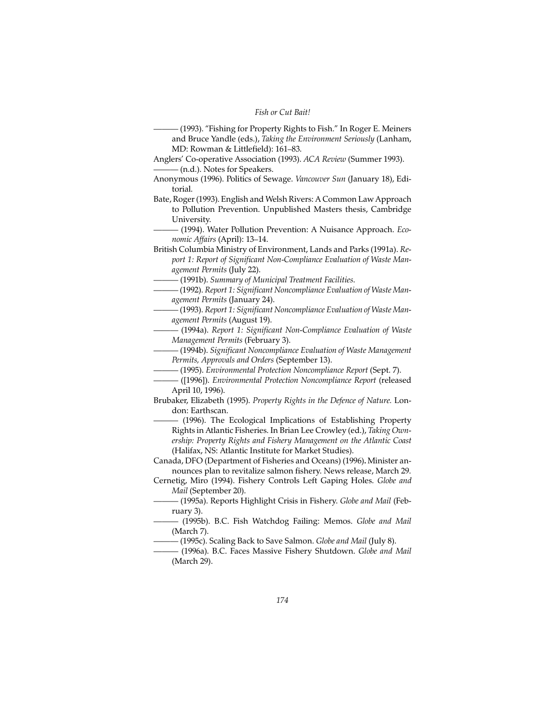——— (1993). "Fishing for Property Rights to Fish." In Roger E. Meiners and Bruce Yandle (eds.), *Taking the Environment Seriously* (Lanham, MD: Rowman & Littlefield): 161–83.

- Anglers' Co-operative Association (1993). *ACA Review* (Summer 1993). ——— (n.d.). Notes for Speakers.
- Anonymous (1996). Politics of Sewage. *Vancouver Sun* (January 18), Editorial.
- Bate, Roger (1993). English and Welsh Rivers: A Common Law Approach to Pollution Prevention. Unpublished Masters thesis, Cambridge University.
	- ——— (1994). Water Pollution Prevention: A Nuisance Approach. *Economic Affairs* (April): 13–14.
- British Columbia Ministry of Environment, Lands and Parks (1991a). *Report 1: Report of Significant Non-Compliance Evaluation of Waste Management Permits* (July 22).
- ——— (1991b). *Summary of Municipal Treatment Facilities*.
- ——— (1992). *Report 1: Significant Noncompliance Evaluation of Waste Management Permits* (January 24).
- ——— (1993). *Report 1: Significant Noncompliance Evaluation of Waste Management Permits* (August 19).
- ——— (1994a). *Report 1: Significant Non-Compliance Evaluation of Waste Management Permits* (February 3).
- ——— (1994b). *Significant Noncompliance Evaluation of Waste Management Permits, Approvals and Orders* (September 13).
- ——— (1995). *Environmental Protection Noncompliance Report* (Sept. 7).
	- ——— ([1996]). *Environmental Protection Noncompliance Report* (released April 10, 1996).
- Brubaker, Elizabeth (1995). *Property Rights in the Defence of Nature.* London: Earthscan.
	- ——— (1996). The Ecological Implications of Establishing Property Rights in Atlantic Fisheries. In Brian Lee Crowley (ed.), *Taking Ownership: Property Rights and Fishery Management on the Atlantic Coast* (Halifax, NS: Atlantic Institute for Market Studies).

Canada, DFO (Department of Fisheries and Oceans) (1996)**.** Minister announces plan to revitalize salmon fishery. News release, March 29.

- Cernetig, Miro (1994). Fishery Controls Left Gaping Holes. *Globe and Mail* (September 20).
- ——— (1995a). Reports Highlight Crisis in Fishery. *Globe and Mail* (February 3).
- ——— (1995b). B.C. Fish Watchdog Failing: Memos. *Globe and Mail* (March 7).
- ——— (1995c). Scaling Back to Save Salmon. *Globe and Mail* (July 8).
- ——— (1996a). B.C. Faces Massive Fishery Shutdown. *Globe and Mail* (March 29).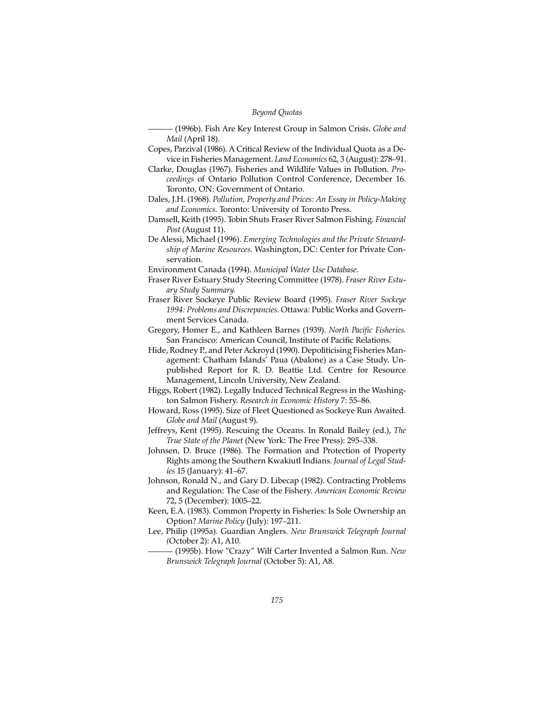——— (1996b). Fish Are Key Interest Group in Salmon Crisis. *Globe and Mail* (April 18).

- Copes, Parzival (1986). A Critical Review of the Individual Quota as a Device in Fisheries Management. *Land Economics* 62, 3 (August): 278–91.
- Clarke, Douglas (1967). Fisheries and Wildlife Values in Pollution. *Proceedings* of Ontario Pollution Control Conference, December 16. Toronto, ON: Government of Ontario.

Dales, J.H. (1968). *Pollution, Property and Prices: An Essay in Policy-Making and Economics.* Toronto: University of Toronto Press.

Damsell, Keith (1995). Tobin Shuts Fraser River Salmon Fishing. *Financial Post* (August 11).

De Alessi, Michael (1996). *Emerging Technologies and the Private Stewardship of Marine Resources*. Washington, DC: Center for Private Conservation.

Environment Canada (1994). *Municipal Water Use Database*.

- Fraser River Estuary Study Steering Committee (1978). *Fraser River Estuary Study Summary*.
- Fraser River Sockeye Public Review Board (1995). *Fraser River Sockeye 1994: Problems and Discrepancies*. Ottawa: Public Works and Government Services Canada.
- Gregory, Homer E., and Kathleen Barnes (1939). *North Pacific Fisheries.* San Francisco: American Council, Institute of Pacific Relations.
- Hide, Rodney P., and Peter Ackroyd (1990). Depoliticising Fisheries Management: Chatham Islands' Paua (Abalone) as a Case Study. Unpublished Report for R. D. Beattie Ltd. Centre for Resource Management, Lincoln University, New Zealand.
- Higgs, Robert (1982). Legally Induced Technical Regress in the Washington Salmon Fishery. *Research in Economic History* 7: 55–86.
- Howard, Ross (1995). Size of Fleet Questioned as Sockeye Run Awaited. *Globe and Mail* (August 9).
- Jeffreys, Kent (1995). Rescuing the Oceans. In Ronald Bailey (ed.), *The True State of the Planet* (New York: The Free Press): 295–338.
- Johnsen, D. Bruce (1986). The Formation and Protection of Property Rights among the Southern Kwakiutl Indians. *Journal of Legal Studies* 15 (January): 41–67.
- Johnson, Ronald N., and Gary D. Libecap (1982). Contracting Problems and Regulation: The Case of the Fishery. *American Economic Review* 72, 5 (December): 1005–22.
- Keen, E.A. (1983). Common Property in Fisheries: Is Sole Ownership an Option? *Marine Policy* (July): 197–211.
- Lee, Philip (1995a). Guardian Anglers. *New Brunswick Telegraph Journal (*October 2): A1, A10.

——— (1995b). How "Crazy" Wilf Carter Invented a Salmon Run. *New Brunswick Telegraph Journal* (October 5): A1, A8.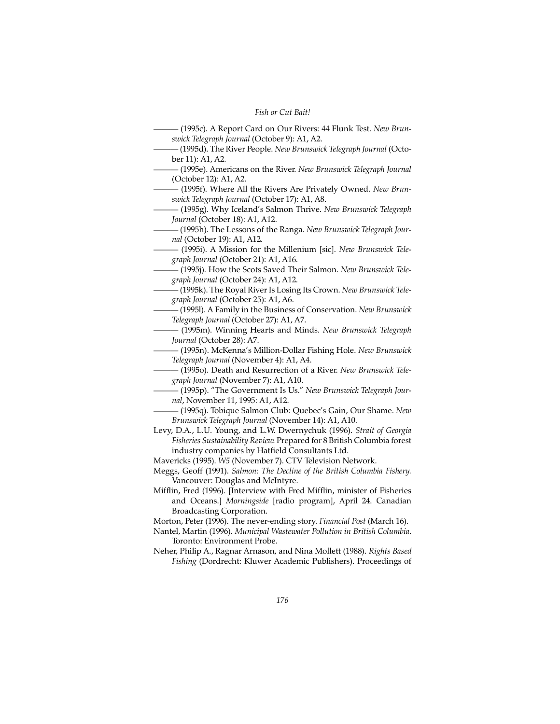——— (1995c). A Report Card on Our Rivers: 44 Flunk Test. *New Brunswick Telegraph Journal* (October 9): A1, A2. ——— (1995d). The River People. *New Brunswick Telegraph Journal* (October 11): A1, A2. ——— (1995e). Americans on the River. *New Brunswick Telegraph Journal* (October 12): A1, A2. ——— (1995f). Where All the Rivers Are Privately Owned. *New Brunswick Telegraph Journal* (October 17): A1, A8. ——— (1995g). Why Iceland's Salmon Thrive. *New Brunswick Telegraph Journal* (October 18): A1, A12. ——— (1995h). The Lessons of the Ranga. *New Brunswick Telegraph Journal* (October 19): A1, A12. ——— (1995i). A Mission for the Millenium [sic]. *New Brunswick Telegraph Journal* (October 21): A1, A16. ——— (1995j). How the Scots Saved Their Salmon. *New Brunswick Telegraph Journal* (October 24): A1, A12. ——— (1995k). The Royal River Is Losing Its Crown. *New Brunswick Telegraph Journal* (October 25): A1, A6. ——— (1995l). A Family in the Business of Conservation. *New Brunswick Telegraph Journal* (October 27): A1, A7. ——— (1995m). Winning Hearts and Minds. *New Brunswick Telegraph Journal* (October 28): A7. ——— (1995n). McKenna's Million-Dollar Fishing Hole. *New Brunswick Telegraph Journal* (November 4): A1, A4. ——— (1995o). Death and Resurrection of a River. *New Brunswick Telegraph Journal* (November 7): A1, A10. ——— (1995p). "The Government Is Us." *New Brunswick Telegraph Journal*, November 11, 1995: A1, A12. ——— (1995q). Tobique Salmon Club: Quebec's Gain, Our Shame. *New Brunswick Telegraph Journal* (November 14): A1, A10. Levy, D.A., L.U. Young, and L.W. Dwernychuk (1996). *Strait of Georgia Fisheries Sustainability Review*. Prepared for 8 British Columbia forest industry companies by Hatfield Consultants Ltd. Mavericks (1995). *W5* (November 7). CTV Television Network. Meggs, Geoff (1991). *Salmon: The Decline of the British Columbia Fishery.* Vancouver: Douglas and McIntyre. Mifflin, Fred (1996). [Interview with Fred Mifflin, minister of Fisheries and Oceans.] *Morningside* [radio program], April 24. Canadian Broadcasting Corporation. Morton, Peter (1996). The never-ending story. *Financial Post* (March 16). Nantel, Martin (1996). *Municipal Wastewater Pollution in British Columbia*. Toronto: Environment Probe. Neher, Philip A., Ragnar Arnason, and Nina Mollett (1988). *Rights Based Fishing* (Dordrecht: Kluwer Academic Publishers). Proceedings of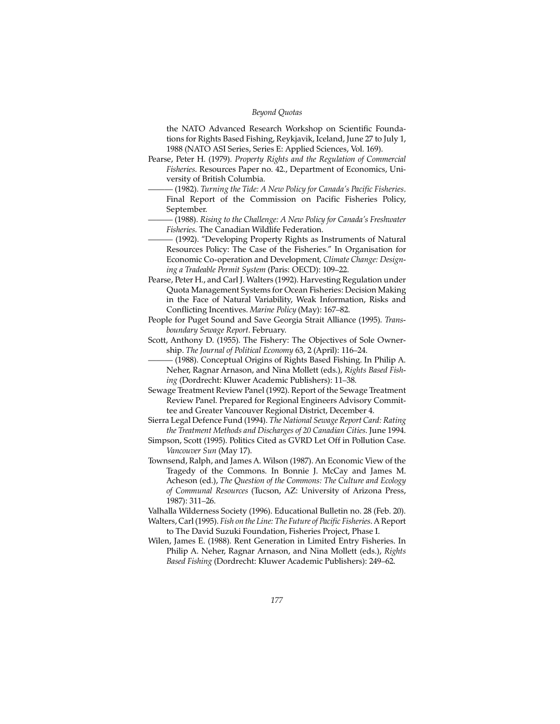the NATO Advanced Research Workshop on Scientific Foundations for Rights Based Fishing, Reykjavik, Iceland, June 27 to July 1, 1988 (NATO ASI Series, Series E: Applied Sciences, Vol. 169).

- Pearse, Peter H. (1979). *Property Rights and the Regulation of Commercial Fisheries*. Resources Paper no. 42., Department of Economics, University of British Columbia.
	- ——— (1982). *Turning the Tide: A New Policy for Canada's Pacific Fisheries*. Final Report of the Commission on Pacific Fisheries Policy, September.
	- ——— (1988). *Rising to the Challenge: A New Policy for Canada's Freshwater Fisheries*. The Canadian Wildlife Federation.
	- ——— (1992). "Developing Property Rights as Instruments of Natural Resources Policy: The Case of the Fisheries." In Organisation for Economic Co-operation and Development*, Climate Change: Designing a Tradeable Permit System* (Paris: OECD): 109–22.
- Pearse, Peter H., and Carl J. Walters (1992). Harvesting Regulation under Quota Management Systems for Ocean Fisheries: Decision Making in the Face of Natural Variability, Weak Information, Risks and Conflicting Incentives. *Marine Policy* (May): 167–82.
- People for Puget Sound and Save Georgia Strait Alliance (1995). *Transboundary Sewage Report*. February.
- Scott, Anthony D. (1955). The Fishery: The Objectives of Sole Ownership. *The Journal of Political Economy* 63, 2 (April): 116–24.

 $-$  (1988). Conceptual Origins of Rights Based Fishing. In Philip A. Neher, Ragnar Arnason, and Nina Mollett (eds.), *Rights Based Fishing* (Dordrecht: Kluwer Academic Publishers): 11–38.

- Sewage Treatment Review Panel (1992). Report of the Sewage Treatment Review Panel. Prepared for Regional Engineers Advisory Committee and Greater Vancouver Regional District, December 4.
- Sierra Legal Defence Fund (1994). *The National Sewage Report Card: Rating the Treatment Methods and Discharges of 20 Canadian Cities*. June 1994.
- Simpson, Scott (1995). Politics Cited as GVRD Let Off in Pollution Case. *Vancouver Sun* (May 17).
- Townsend, Ralph, and James A. Wilson (1987). An Economic View of the Tragedy of the Commons. In Bonnie J. McCay and James M. Acheson (ed.), *The Question of the Commons: The Culture and Ecology of Communal Resources* (Tucson, AZ: University of Arizona Press, 1987): 311–26.
- Valhalla Wilderness Society (1996). Educational Bulletin no. 28 (Feb. 20).
- Walters, Carl (1995). *Fish on the Line: The Future of Pacific Fisheries*. A Report to The David Suzuki Foundation, Fisheries Project, Phase I.
- Wilen, James E. (1988). Rent Generation in Limited Entry Fisheries. In Philip A. Neher, Ragnar Arnason, and Nina Mollett (eds.), *Rights Based Fishing* (Dordrecht: Kluwer Academic Publishers): 249–62.